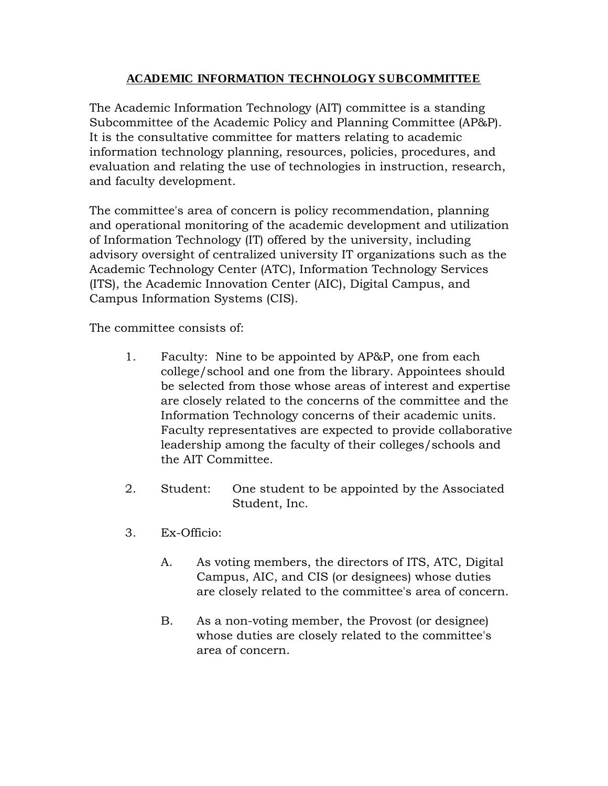## **ACADEMIC INFORMATION TECHNOLOGY SUBCOMMITTEE**

The Academic Information Technology (AIT) committee is a standing Subcommittee of the Academic Policy and Planning Committee (AP&P). It is the consultative committee for matters relating to academic information technology planning, resources, policies, procedures, and evaluation and relating the use of technologies in instruction, research, and faculty development.

The committee's area of concern is policy recommendation, planning and operational monitoring of the academic development and utilization of Information Technology (IT) offered by the university, including advisory oversight of centralized university IT organizations such as the Academic Technology Center (ATC), Information Technology Services (ITS), the Academic Innovation Center (AIC), Digital Campus, and Campus Information Systems (CIS).

The committee consists of:

- 1. Faculty: Nine to be appointed by AP&P, one from each college/school and one from the library. Appointees should be selected from those whose areas of interest and expertise are closely related to the concerns of the committee and the Information Technology concerns of their academic units. Faculty representatives are expected to provide collaborative leadership among the faculty of their colleges/schools and the AIT Committee.
- 2. Student: One student to be appointed by the Associated Student, Inc.
- 3. Ex-Officio:
	- A. As voting members, the directors of ITS, ATC, Digital Campus, AIC, and CIS (or designees) whose duties are closely related to the committee's area of concern.
	- B. As a non-voting member, the Provost (or designee) whose duties are closely related to the committee's area of concern.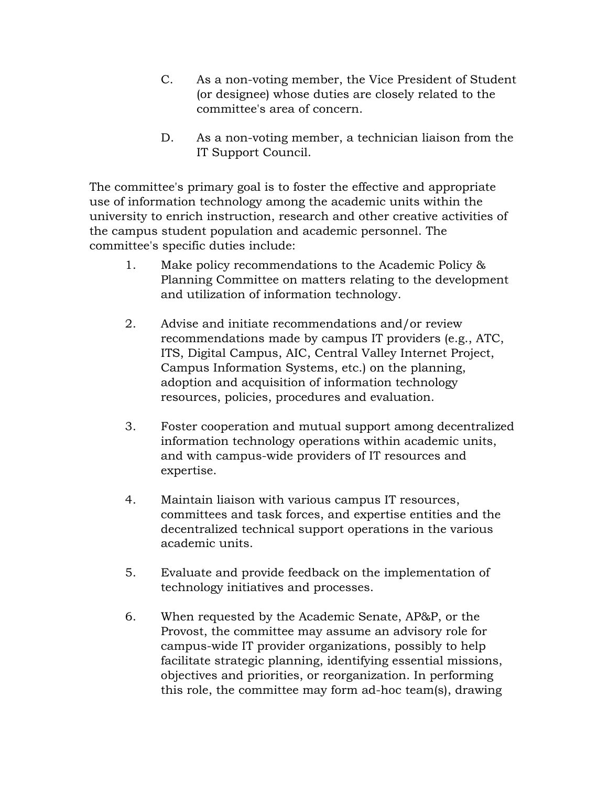- C. As a non-voting member, the Vice President of Student (or designee) whose duties are closely related to the committee's area of concern.
- D. As a non-voting member, a technician liaison from the IT Support Council.

The committee's primary goal is to foster the effective and appropriate use of information technology among the academic units within the university to enrich instruction, research and other creative activities of the campus student population and academic personnel. The committee's specific duties include:

- 1. Make policy recommendations to the Academic Policy & Planning Committee on matters relating to the development and utilization of information technology.
- 2. Advise and initiate recommendations and/or review recommendations made by campus IT providers (e.g., ATC, ITS, Digital Campus, AIC, Central Valley Internet Project, Campus Information Systems, etc.) on the planning, adoption and acquisition of information technology resources, policies, procedures and evaluation.
- 3. Foster cooperation and mutual support among decentralized information technology operations within academic units, and with campus-wide providers of IT resources and expertise.
- 4. Maintain liaison with various campus IT resources, committees and task forces, and expertise entities and the decentralized technical support operations in the various academic units.
- 5. Evaluate and provide feedback on the implementation of technology initiatives and processes.
- 6. When requested by the Academic Senate, AP&P, or the Provost, the committee may assume an advisory role for campus-wide IT provider organizations, possibly to help facilitate strategic planning, identifying essential missions, objectives and priorities, or reorganization. In performing this role, the committee may form ad-hoc team(s), drawing